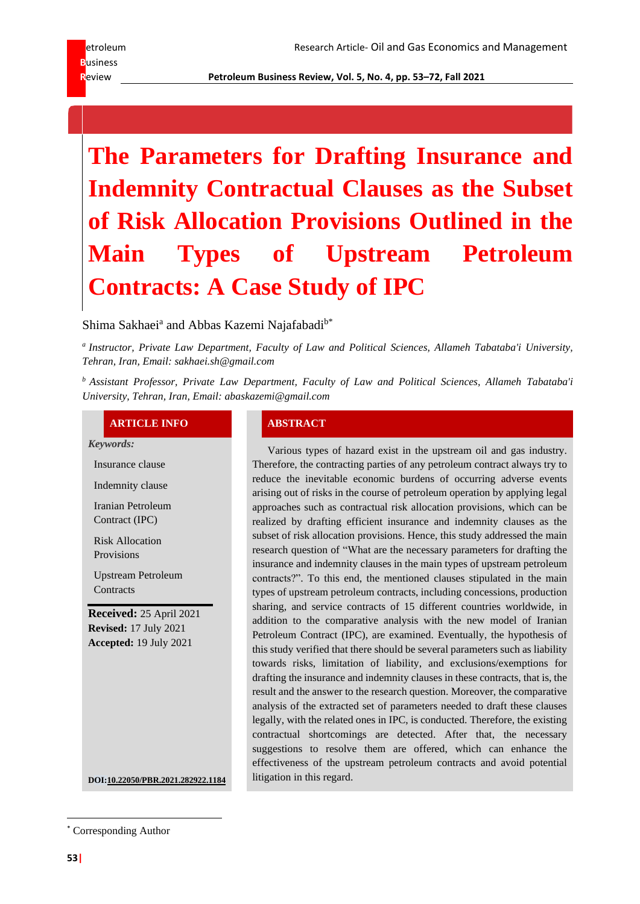**R**eview **Petroleum Business Review, Vol. 5, No. 4, pp. 53–72, Fall 2021**

# **The Parameters for Drafting Insurance and Indemnity Contractual Clauses as the Subset of Risk Allocation Provisions Outlined in the Main Types of Upstream Petroleum Contracts: A Case Study of IPC**

# Shima Sakhaei<sup>a</sup> and Abbas Kazemi Najafabadi<sup>b\*</sup>

*a Instructor, Private Law Department, Faculty of Law and Political Sciences, Allameh Tabataba'i University, Tehran, Iran, Email: sakhaei.sh@gmail.com*

*<sup>b</sup> Assistant Professor, Private Law Department, Faculty of Law and Political Sciences, Allameh Tabataba'i University, Tehran, Iran, Email: abaskazemi@gmail.com*

### **ARTICLE INFO ABSTRACT**

*Keywords:*

Insurance clause

Indemnity clause

Iranian Petroleum Contract (IPC)

Risk Allocation Provisions

Upstream Petroleum **Contracts** 

**Received:** 25 April 2021 **Revised:** 17 July 2021 **Accepted:** 19 July 2021

Various types of hazard exist in the upstream oil and gas industry. Therefore, the contracting parties of any petroleum contract always try to reduce the inevitable economic burdens of occurring adverse events arising out of risks in the course of petroleum operation by applying legal approaches such as contractual risk allocation provisions, which can be realized by drafting efficient insurance and indemnity clauses as the subset of risk allocation provisions. Hence, this study addressed the main research question of "What are the necessary parameters for drafting the insurance and indemnity clauses in the main types of upstream petroleum contracts?". To this end, the mentioned clauses stipulated in the main types of upstream petroleum contracts, including concessions, production sharing, and service contracts of 15 different countries worldwide, in addition to the comparative analysis with the new model of Iranian Petroleum Contract (IPC), are examined. Eventually, the hypothesis of this study verified that there should be several parameters such as liability towards risks, limitation of liability, and exclusions/exemptions for drafting the insurance and indemnity clauses in these contracts, that is, the result and the answer to the research question. Moreover, the comparative analysis of the extracted set of parameters needed to draft these clauses legally, with the related ones in IPC, is conducted. Therefore, the existing contractual shortcomings are detected. After that, the necessary suggestions to resolve them are offered, which can enhance the effectiveness of the upstream petroleum contracts and avoid potential **DOI:10.22050/PBR.2021.282922.1184** litigation in this regard.

\* Corresponding Author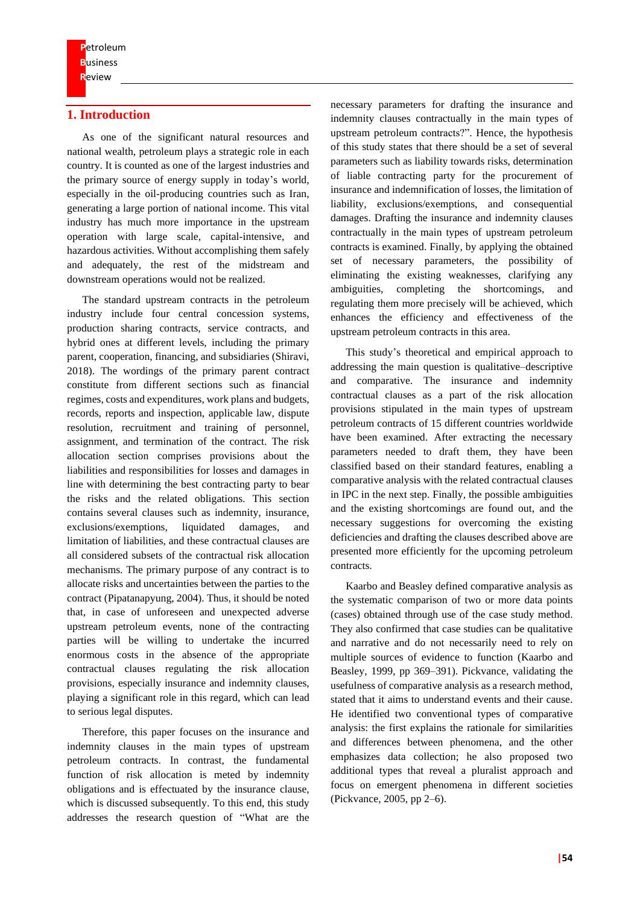# **1. Introduction**

As one of the significant natural resources and national wealth, petroleum plays a strategic role in each country. It is counted as one of the largest industries and the primary source of energy supply in today's world, especially in the oil-producing countries such as Iran, generating a large portion of national income. This vital industry has much more importance in the upstream operation with large scale, capital-intensive, and hazardous activities. Without accomplishing them safely and adequately, the rest of the midstream and downstream operations would not be realized.

The standard upstream contracts in the petroleum industry include four central concession systems, production sharing contracts, service contracts, and hybrid ones at different levels, including the primary parent, cooperation, financing, and subsidiaries (Shiravi, 2018). The wordings of the primary parent contract constitute from different sections such as financial regimes, costs and expenditures, work plans and budgets, records, reports and inspection, applicable law, dispute resolution, recruitment and training of personnel, assignment, and termination of the contract. The risk allocation section comprises provisions about the liabilities and responsibilities for losses and damages in line with determining the best contracting party to bear the risks and the related obligations. This section contains several clauses such as indemnity, insurance, exclusions/exemptions, liquidated damages, and limitation of liabilities, and these contractual clauses are all considered subsets of the contractual risk allocation mechanisms. The primary purpose of any contract is to allocate risks and uncertainties between the parties to the contract (Pipatanapyung, 2004). Thus, it should be noted that, in case of unforeseen and unexpected adverse upstream petroleum events, none of the contracting parties will be willing to undertake the incurred enormous costs in the absence of the appropriate contractual clauses regulating the risk allocation provisions, especially insurance and indemnity clauses, playing a significant role in this regard, which can lead to serious legal disputes.

Therefore, this paper focuses on the insurance and indemnity clauses in the main types of upstream petroleum contracts. In contrast, the fundamental function of risk allocation is meted by indemnity obligations and is effectuated by the insurance clause, which is discussed subsequently. To this end, this study addresses the research question of "What are the

necessary parameters for drafting the insurance and indemnity clauses contractually in the main types of upstream petroleum contracts?". Hence, the hypothesis of this study states that there should be a set of several parameters such as liability towards risks, determination of liable contracting party for the procurement of insurance and indemnification of losses, the limitation of liability, exclusions/exemptions, and consequential damages. Drafting the insurance and indemnity clauses contractually in the main types of upstream petroleum contracts is examined. Finally, by applying the obtained set of necessary parameters, the possibility of eliminating the existing weaknesses, clarifying any ambiguities, completing the shortcomings, and regulating them more precisely will be achieved, which enhances the efficiency and effectiveness of the upstream petroleum contracts in this area.

This study's theoretical and empirical approach to addressing the main question is qualitative–descriptive and comparative. The insurance and indemnity contractual clauses as a part of the risk allocation provisions stipulated in the main types of upstream petroleum contracts of 15 different countries worldwide have been examined. After extracting the necessary parameters needed to draft them, they have been classified based on their standard features, enabling a comparative analysis with the related contractual clauses in IPC in the next step. Finally, the possible ambiguities and the existing shortcomings are found out, and the necessary suggestions for overcoming the existing deficiencies and drafting the clauses described above are presented more efficiently for the upcoming petroleum contracts.

Kaarbo and Beasley defined comparative analysis as the systematic comparison of two or more data points (cases) obtained through use of the case study method. They also confirmed that case studies can be qualitative and narrative and do not necessarily need to rely on multiple sources of evidence to function (Kaarbo and Beasley, 1999, pp 369–391). Pickvance, validating the usefulness of comparative analysis as a research method, stated that it aims to understand events and their cause. He identified two conventional types of comparative analysis: the first explains the rationale for similarities and differences between phenomena, and the other emphasizes data collection; he also proposed two additional types that reveal a pluralist approach and focus on emergent phenomena in different societies (Pickvance, 2005, pp 2–6).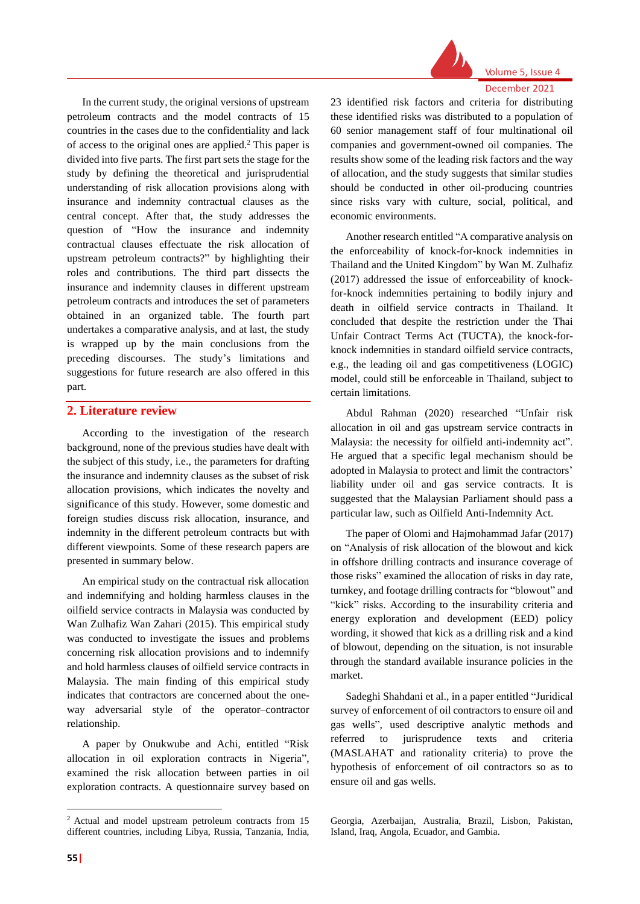

Volume 5, Issue 4 December 2021

In the current study, the original versions of upstream petroleum contracts and the model contracts of 15 countries in the cases due to the confidentiality and lack of access to the original ones are applied.<sup>2</sup> This paper is divided into five parts. The first part sets the stage for the study by defining the theoretical and jurisprudential understanding of risk allocation provisions along with insurance and indemnity contractual clauses as the central concept. After that, the study addresses the question of "How the insurance and indemnity contractual clauses effectuate the risk allocation of upstream petroleum contracts?" by highlighting their roles and contributions. The third part dissects the insurance and indemnity clauses in different upstream petroleum contracts and introduces the set of parameters obtained in an organized table. The fourth part undertakes a comparative analysis, and at last, the study is wrapped up by the main conclusions from the preceding discourses. The study's limitations and suggestions for future research are also offered in this part.

### **2. Literature review**

According to the investigation of the research background, none of the previous studies have dealt with the subject of this study, i.e., the parameters for drafting the insurance and indemnity clauses as the subset of risk allocation provisions, which indicates the novelty and significance of this study. However, some domestic and foreign studies discuss risk allocation, insurance, and indemnity in the different petroleum contracts but with different viewpoints. Some of these research papers are presented in summary below.

An empirical study on the contractual risk allocation and indemnifying and holding harmless clauses in the oilfield service contracts in Malaysia was conducted by Wan Zulhafiz Wan Zahari (2015). This empirical study was conducted to investigate the issues and problems concerning risk allocation provisions and to indemnify and hold harmless clauses of oilfield service contracts in Malaysia. The main finding of this empirical study indicates that contractors are concerned about the oneway adversarial style of the operator–contractor relationship.

A paper by Onukwube and Achi, entitled "Risk allocation in oil exploration contracts in Nigeria", examined the risk allocation between parties in oil exploration contracts. A questionnaire survey based on

23 identified risk factors and criteria for distributing these identified risks was distributed to a population of 60 senior management staff of four multinational oil companies and government-owned oil companies. The results show some of the leading risk factors and the way of allocation, and the study suggests that similar studies should be conducted in other oil-producing countries since risks vary with culture, social, political, and economic environments.

Another research entitled "A comparative analysis on the enforceability of knock-for-knock indemnities in Thailand and the United Kingdom" by Wan M. Zulhafiz (2017) addressed the issue of enforceability of knockfor-knock indemnities pertaining to bodily injury and death in oilfield service contracts in Thailand. It concluded that despite the restriction under the Thai Unfair Contract Terms Act (TUCTA), the knock-forknock indemnities in standard oilfield service contracts, e.g., the leading oil and gas competitiveness (LOGIC) model, could still be enforceable in Thailand, subject to certain limitations.

Abdul Rahman (2020) researched "Unfair risk allocation in oil and gas upstream service contracts in Malaysia: the necessity for oilfield anti-indemnity act". He argued that a specific legal mechanism should be adopted in Malaysia to protect and limit the contractors' liability under oil and gas service contracts. It is suggested that the Malaysian Parliament should pass a particular law, such as Oilfield Anti-Indemnity Act.

The paper of [Olomi](https://www.sid.ir/en/journal/SearchPaper.aspx?writer=804270) and [Hajmohammad](https://www.sid.ir/en/journal/SearchPaper.aspx?writer=804272) Jafar (2017) on "Analysis of risk allocation of the blowout and kick in offshore drilling contracts and insurance coverage of those risks" examined the allocation of risks in day rate, turnkey, and footage drilling contracts for "blowout" and "kick" risks. According to the insurability criteria and energy exploration and development (EED) policy wording, it showed that kick as a drilling risk and a kind of blowout, depending on the situation, is not insurable through the standard available insurance policies in the market.

Sadeghi Shahdani et al., in a paper entitled "Juridical survey of enforcement of oil contractors to ensure oil and gas wells", used descriptive analytic methods and referred to jurisprudence texts and criteria (MASLAHAT and rationality criteria) to prove the hypothesis of enforcement of oil contractors so as to ensure oil and gas wells.

<sup>2</sup> Actual and model upstream petroleum contracts from 15 different countries, including Libya, Russia, Tanzania, India,

Georgia, Azerbaijan, Australia, Brazil, Lisbon, Pakistan, Island, Iraq, Angola, Ecuador, and Gambia.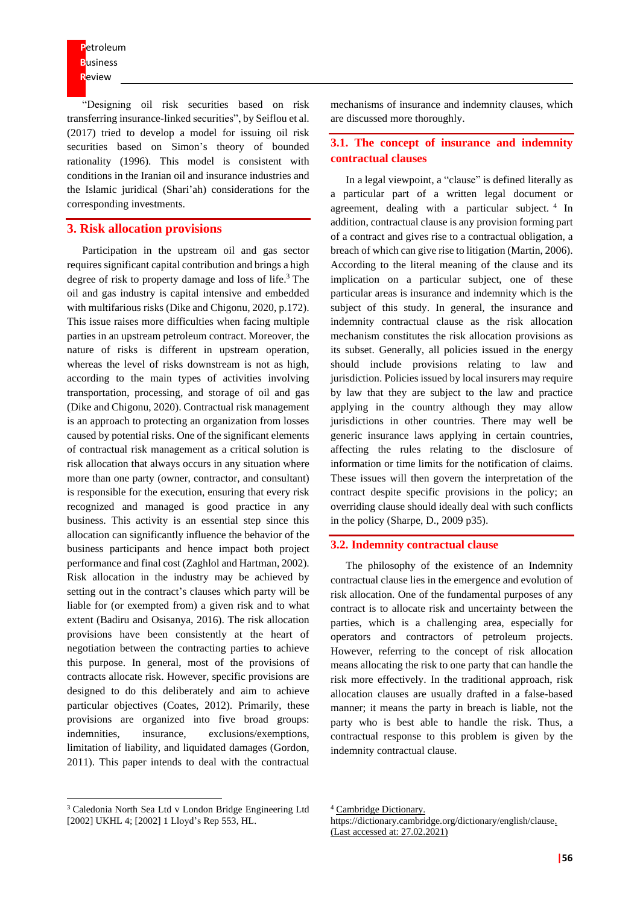**P**etroleum **B**usiness **R**eview

"Designing oil risk securities based on risk transferring insurance-linked securities", by [Seiflou](https://www.sid.ir/en/journal/SearchPaper.aspx?writer=763455) et al. (2017) tried to develop a model for issuing oil risk securities based on Simon's theory of bounded rationality (1996). This model is consistent with conditions in the Iranian oil and insurance industries and the Islamic juridical (Shari'ah) considerations for the corresponding investments.

### **3. Risk allocation provisions**

Participation in the upstream oil and gas sector requires significant capital contribution and brings a high degree of risk to property damage and loss of life.<sup>3</sup> The oil and gas industry is capital intensive and embedded with multifarious risks (Dike and Chigonu, 2020, p.172). This issue raises more difficulties when facing multiple parties in an upstream petroleum contract. Moreover, the nature of risks is different in upstream operation, whereas the level of risks downstream is not as high, according to the main types of activities involving transportation, processing, and storage of oil and gas (Dike and Chigonu, 2020). Contractual risk management is an approach to protecting an organization from losses caused by potential risks. One of the significant elements of contractual risk management as a critical solution is risk allocation that always occurs in any situation where more than one party (owner, contractor, and consultant) is responsible for the execution, ensuring that every risk recognized and managed is good practice in any business. This activity is an essential step since this allocation can significantly influence the behavior of the business participants and hence impact both project performance and final cost (Zaghlol and Hartman, 2002). Risk allocation in the industry may be achieved by setting out in the contract's clauses which party will be liable for (or exempted from) a given risk and to what extent (Badiru and Osisanya, 2016). The risk allocation provisions have been consistently at the heart of negotiation between the contracting parties to achieve this purpose. In general, most of the provisions of contracts allocate risk. However, specific provisions are designed to do this deliberately and aim to achieve particular objectives (Coates, 2012). Primarily, these provisions are organized into five broad groups: indemnities, insurance, exclusions/exemptions, limitation of liability, and liquidated damages (Gordon, 2011). This paper intends to deal with the contractual

<sup>3</sup> Caledonia North Sea Ltd v London Bridge Engineering Ltd [2002] UKHL 4; [2002] 1 Lloyd's Rep 553, HL.

mechanisms of insurance and indemnity clauses, which are discussed more thoroughly.

#### **3.1. The concept of insurance and indemnity contractual clauses**

In a legal viewpoint, a "clause" is defined literally as a [particular](https://dictionary.cambridge.org/dictionary/english/particular) [part](https://dictionary.cambridge.org/dictionary/english/part) of a written [legal](https://dictionary.cambridge.org/dictionary/english/legal) [document](https://dictionary.cambridge.org/dictionary/english/document) or [agreement,](https://dictionary.cambridge.org/dictionary/english/agreement) [dealing](https://dictionary.cambridge.org/dictionary/english/deal) with a particular subject.<sup>4</sup> In addition, contractual clause is any provision forming part of a contract and gives rise to a contractual obligation, a breach of which can give rise to litigation (Martin, 2006). According to the literal meaning of the clause and its implication on a particular subject, one of these particular areas is insurance and indemnity which is the subject of this study. In general, the insurance and indemnity contractual clause as the risk allocation mechanism constitutes the risk allocation provisions as its subset. Generally, all policies issued in the energy should include provisions relating to law and jurisdiction. Policies issued by local insurers may require by law that they are subject to the law and practice applying in the country although they may allow jurisdictions in other countries. There may well be generic insurance laws applying in certain countries, affecting the rules relating to the disclosure of information or time limits for the notification of claims. These issues will then govern the interpretation of the contract despite specific provisions in the policy; an overriding clause should ideally deal with such conflicts in the policy (Sharpe, D., 2009 p35).

#### **3.2. Indemnity contractual clause**

The philosophy of the existence of an Indemnity contractual clause lies in the emergence and evolution of risk allocation. One of the fundamental purposes of any contract is to allocate risk and uncertainty between the parties, which is a challenging area, especially for operators and contractors of petroleum projects. However, referring to the concept of risk allocation means allocating the risk to one party that can handle the risk more effectively. In the traditional approach, risk allocation clauses are usually drafted in a false-based manner; it means the party in breach is liable, not the party who is best able to handle the risk. Thus, a contractual response to this problem is given by the indemnity contractual clause.

<sup>4</sup> Cambridge Dictionary.

https://dictionary.cambridge.org/dictionary/english/clause. (Last accessed at: 27.02.2021)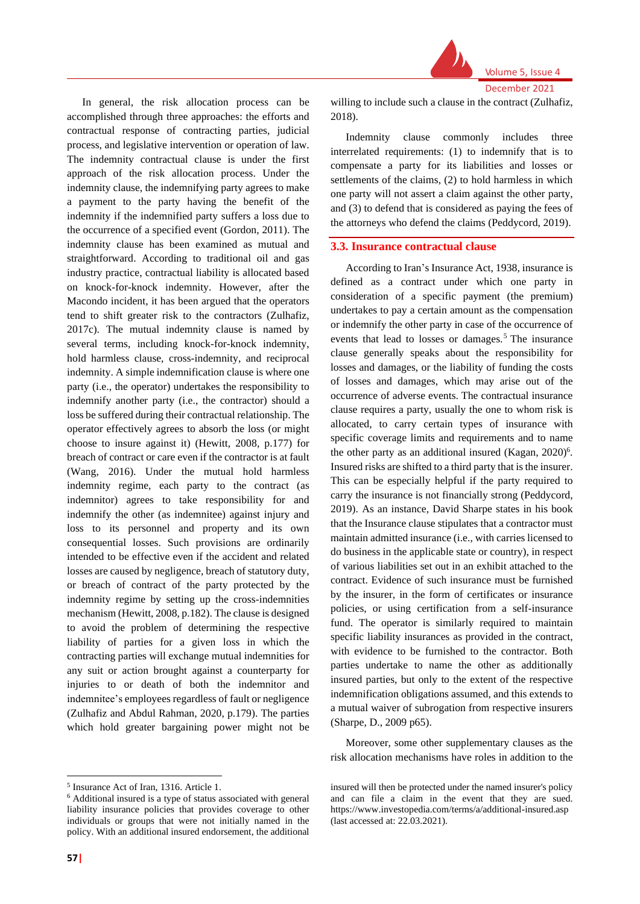

In general, the risk allocation process can be accomplished through three approaches: the efforts and contractual response of contracting parties, judicial process, and legislative intervention or operation of law. The indemnity contractual clause is under the first approach of the risk allocation process. Under the indemnity clause, the indemnifying party agrees to make a payment to the party having the benefit of the indemnity if the indemnified party suffers a loss due to the occurrence of a specified event (Gordon, 2011). The indemnity clause has been examined as mutual and straightforward. According to traditional oil and gas industry practice, contractual liability is allocated based on knock-for-knock indemnity. However, after the Macondo incident, it has been argued that the operators tend to shift greater risk to the contractors (Zulhafiz, 2017c). The mutual indemnity clause is named by several terms, including knock-for-knock indemnity, hold harmless clause, cross-indemnity, and reciprocal indemnity. A simple indemnification clause is where one party (i.e., the operator) undertakes the responsibility to indemnify another party (i.e., the contractor) should a loss be suffered during their contractual relationship. The operator effectively agrees to absorb the loss (or might choose to insure against it) (Hewitt, 2008, p.177) for breach of contract or care even if the contractor is at fault (Wang, 2016). Under the mutual hold harmless indemnity regime, each party to the contract (as indemnitor) agrees to take responsibility for and indemnify the other (as indemnitee) against injury and loss to its personnel and property and its own consequential losses. Such provisions are ordinarily intended to be effective even if the accident and related losses are caused by negligence, breach of statutory duty, or breach of contract of the party protected by the indemnity regime by setting up the cross-indemnities mechanism (Hewitt, 2008, p.182). The clause is designed to avoid the problem of determining the respective liability of parties for a given loss in which the contracting parties will exchange mutual indemnities for any suit or action brought against a counterparty for injuries to or death of both the indemnitor and indemnitee's employees regardless of fault or negligence (Zulhafiz and Abdul Rahman, 2020, p.179). The parties which hold greater bargaining power might not be

willing to include such a clause in the contract (Zulhafiz, 2018).

Indemnity clause commonly includes three interrelated requirements: (1) to indemnify that is to compensate a party for its liabilities and losses or settlements of the claims, (2) to hold harmless in which one party will not assert a claim against the other party, and (3) to defend that is considered as paying the fees of the attorneys who defend the claims (Peddycord, 2019).

#### **3.3. Insurance contractual clause**

According to Iran's Insurance Act, 1938, insurance is defined as a contract under which one party in consideration of a specific payment (the premium) undertakes to pay a certain amount as the compensation or indemnify the other party in case of the occurrence of events that lead to losses or damages.<sup>5</sup> The insurance clause generally speaks about the responsibility for losses and damages, or the liability of funding the costs of losses and damages, which may arise out of the occurrence of adverse events. The contractual insurance clause requires a party, usually the one to whom risk is allocated, to carry certain types of insurance with specific coverage limits and requirements and to name the other party as an additional insured [\(Kagan,](file:///C:/Users/sakha/Desktop/Kagan) 2020)<sup>6</sup>. Insured risks are shifted to a third party that is the insurer. This can be especially helpful if the party required to carry the insurance is not financially strong (Peddycord, 2019). As an instance, David Sharpe states in his book that the Insurance clause stipulates that a contractor must maintain admitted insurance (i.e., with carries licensed to do business in the applicable state or country), in respect of various liabilities set out in an exhibit attached to the contract. Evidence of such insurance must be furnished by the insurer, in the form of certificates or insurance policies, or using certification from a self-insurance fund. The operator is similarly required to maintain specific liability insurances as provided in the contract, with evidence to be furnished to the contractor. Both parties undertake to name the other as additionally insured parties, but only to the extent of the respective indemnification obligations assumed, and this extends to a mutual waiver of subrogation from respective insurers (Sharpe, D., 2009 p65).

Moreover, some other supplementary clauses as the risk allocation mechanisms have roles in addition to the

<sup>5</sup> Insurance Act of Iran, 1316. Article 1.

<sup>6</sup> Additional insured is a type of status associated with general liability [insurance](https://www.investopedia.com/terms/l/liability_insurance.asp) policies that provides coverage to other individuals or groups that were not initially named in the policy. With an additional insured [endorsement,](https://www.investopedia.com/terms/e/endorsement.asp) the additional

insured will then be protected under the named insurer's policy and can file a [claim](https://www.investopedia.com/terms/i/insurance_claim.asp) in the event that they are sued. <https://www.investopedia.com/terms/a/additional-insured.asp> (last accessed at: 22.03.2021).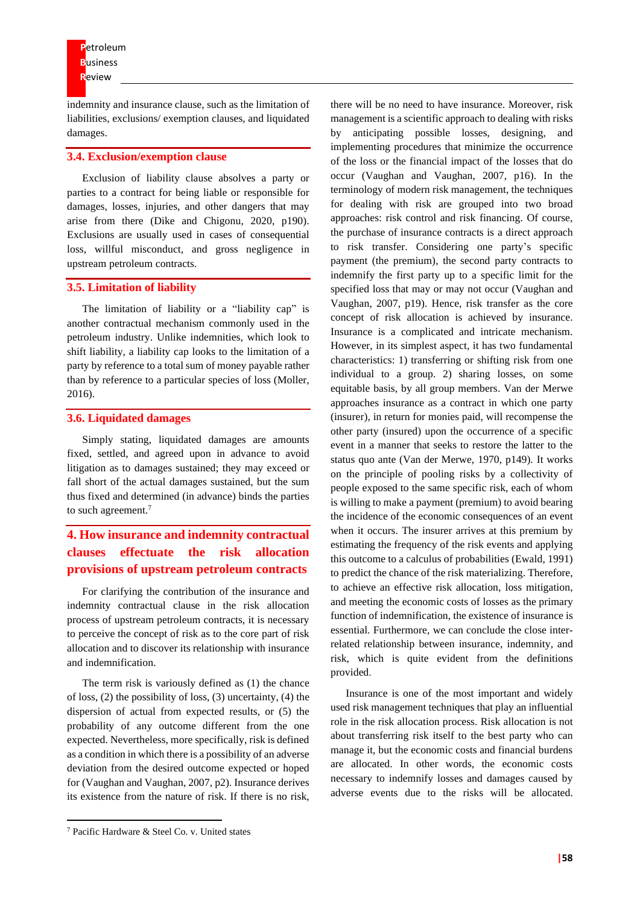indemnity and insurance clause, such as the limitation of liabilities, exclusions/ exemption clauses, and liquidated damages.

#### **3.4. Exclusion/exemption clause**

Exclusion of liability clause absolves a party or parties to a contract for being liable or responsible for damages, losses, injuries, and other dangers that may arise from there (Dike and Chigonu, 2020, p190). Exclusions are usually used in cases of consequential loss, willful misconduct, and gross negligence in upstream petroleum contracts.

#### **3.5. Limitation of liability**

The limitation of liability or a "liability cap" is another contractual mechanism commonly used in the petroleum industry. Unlike indemnities, which look to shift liability, a liability cap looks to the limitation of a party by reference to a total sum of money payable rather than by reference to a particular species of loss (Moller, 2016).

#### **3.6. Liquidated damages**

Simply stating, liquidated damages are amounts fixed, settled, and agreed upon in advance to avoid litigation as to damages sustained; they may exceed or fall short of the actual damages sustained, but the sum thus fixed and determined (in advance) binds the parties to such agreement.<sup>7</sup>

# **4. How insurance and indemnity contractual clauses effectuate the risk allocation provisions of upstream petroleum contracts**

For clarifying the contribution of the insurance and indemnity contractual clause in the risk allocation process of upstream petroleum contracts, it is necessary to perceive the concept of risk as to the core part of risk allocation and to discover its relationship with insurance and indemnification.

The term risk is variously defined as (1) the chance of loss, (2) the possibility of loss, (3) uncertainty, (4) the dispersion of actual from expected results, or (5) the probability of any outcome different from the one expected. Nevertheless, more specifically, risk is defined as a condition in which there is a possibility of an adverse deviation from the desired outcome expected or hoped for (Vaughan and Vaughan, 2007, p2). Insurance derives its existence from the nature of risk. If there is no risk,

there will be no need to have insurance. Moreover, risk management is a scientific approach to dealing with risks by anticipating possible losses, designing, and implementing procedures that minimize the occurrence of the loss or the financial impact of the losses that do occur (Vaughan and Vaughan, 2007, p16). In the terminology of modern risk management, the techniques for dealing with risk are grouped into two broad approaches: risk control and risk financing. Of course, the purchase of insurance contracts is a direct approach to risk transfer. Considering one party's specific payment (the premium), the second party contracts to indemnify the first party up to a specific limit for the specified loss that may or may not occur (Vaughan and Vaughan, 2007, p19). Hence, risk transfer as the core concept of risk allocation is achieved by insurance. Insurance is a complicated and intricate mechanism. However, in its simplest aspect, it has two fundamental characteristics: 1) transferring or shifting risk from one individual to a group. 2) sharing losses, on some equitable basis, by all group members. Van der Merwe approaches insurance as a contract in which one party (insurer), in return for monies paid, will recompense the other party (insured) upon the occurrence of a specific event in a manner that seeks to restore the latter to the status quo ante (Van der Merwe, 1970, p149). It works on the principle of pooling risks by a collectivity of people exposed to the same specific risk, each of whom is willing to make a payment (premium) to avoid bearing the incidence of the economic consequences of an event when it occurs. The insurer arrives at this premium by estimating the frequency of the risk events and applying this outcome to a calculus of probabilities (Ewald, 1991) to predict the chance of the risk materializing. Therefore, to achieve an effective risk allocation, loss mitigation, and meeting the economic costs of losses as the primary function of indemnification, the existence of insurance is essential. Furthermore, we can conclude the close interrelated relationship between insurance, indemnity, and risk, which is quite evident from the definitions provided.

Insurance is one of the most important and widely used risk management techniques that play an influential role in the risk allocation process. Risk allocation is not about transferring risk itself to the best party who can manage it, but the economic costs and financial burdens are allocated. In other words, the economic costs necessary to indemnify losses and damages caused by adverse events due to the risks will be allocated.

<sup>7</sup> Pacific Hardware & Steel Co. v. United states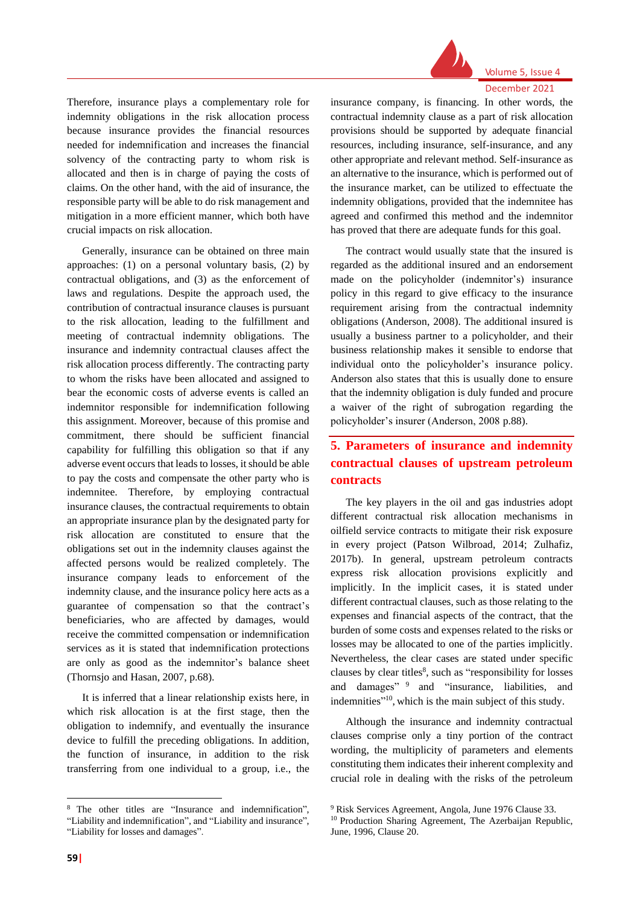

#### Volume 5, Issue 4 December 2021

Therefore, insurance plays a complementary role for indemnity obligations in the risk allocation process because insurance provides the financial resources needed for indemnification and increases the financial solvency of the contracting party to whom risk is allocated and then is in charge of paying the costs of claims. On the other hand, with the aid of insurance, the responsible party will be able to do risk management and mitigation in a more efficient manner, which both have crucial impacts on risk allocation.

Generally, insurance can be obtained on three main approaches: (1) on a personal voluntary basis, (2) by contractual obligations, and (3) as the enforcement of laws and regulations. Despite the approach used, the contribution of contractual insurance clauses is pursuant to the risk allocation, leading to the fulfillment and meeting of contractual indemnity obligations. The insurance and indemnity contractual clauses affect the risk allocation process differently. The contracting party to whom the risks have been allocated and assigned to bear the economic costs of adverse events is called an indemnitor responsible for indemnification following this assignment. Moreover, because of this promise and commitment, there should be sufficient financial capability for fulfilling this obligation so that if any adverse event occurs that leads to losses, it should be able to pay the costs and compensate the other party who is indemnitee. Therefore, by employing contractual insurance clauses, the contractual requirements to obtain an appropriate insurance plan by the designated party for risk allocation are constituted to ensure that the obligations set out in the indemnity clauses against the affected persons would be realized completely. The insurance company leads to enforcement of the indemnity clause, and the insurance policy here acts as a guarantee of compensation so that the contract's beneficiaries, who are affected by damages, would receive the committed compensation or indemnification services as it is stated that indemnification protections are only as good as the indemnitor's balance sheet (Thornsjo and Hasan, 2007, p.68).

It is inferred that a linear relationship exists here, in which risk allocation is at the first stage, then the obligation to indemnify, and eventually the insurance device to fulfill the preceding obligations. In addition, the function of insurance, in addition to the risk transferring from one individual to a group, i.e., the

insurance company, is financing. In other words, the contractual indemnity clause as a part of risk allocation provisions should be supported by adequate financial resources, including insurance, self-insurance, and any other appropriate and relevant method. Self-insurance as an alternative to the insurance, which is performed out of the insurance market, can be utilized to effectuate the indemnity obligations, provided that the indemnitee has agreed and confirmed this method and the indemnitor has proved that there are adequate funds for this goal.

The contract would usually state that the insured is regarded as the additional insured and an endorsement made on the policyholder (indemnitor's) insurance policy in this regard to give efficacy to the insurance requirement arising from the contractual indemnity obligations (Anderson, 2008). The additional insured is usually a business partner to a policyholder, and their business relationship makes it sensible to endorse that individual onto the policyholder's insurance policy. Anderson also states that this is usually done to ensure that the indemnity obligation is duly funded and procure a waiver of the right of subrogation regarding the policyholder's insurer (Anderson, 2008 p.88).

# **5. Parameters of insurance and indemnity contractual clauses of upstream petroleum contracts**

The key players in the oil and gas industries adopt different contractual risk allocation mechanisms in oilfield service contracts to mitigate their risk exposure in every project (Patson Wilbroad, 2014; Zulhafiz, 2017b). In general, upstream petroleum contracts express risk allocation provisions explicitly and implicitly. In the implicit cases, it is stated under different contractual clauses, such as those relating to the expenses and financial aspects of the contract, that the burden of some costs and expenses related to the risks or losses may be allocated to one of the parties implicitly. Nevertheless, the clear cases are stated under specific clauses by clear titles $\delta$ , such as "responsibility for losses and damages" <sup>9</sup> and "insurance, liabilities, and indemnities"<sup>10</sup>, which is the main subject of this study.

Although the insurance and indemnity contractual clauses comprise only a tiny portion of the contract wording, the multiplicity of parameters and elements constituting them indicates their inherent complexity and crucial role in dealing with the risks of the petroleum

<sup>8</sup> The other titles are "Insurance and indemnification", "Liability and indemnification", and "Liability and insurance", "Liability for losses and damages".

<sup>9</sup> Risk Services Agreement, Angola, June 1976 Clause 33.

<sup>10</sup> Production Sharing Agreement, The Azerbaijan Republic, June, 1996, Clause 20.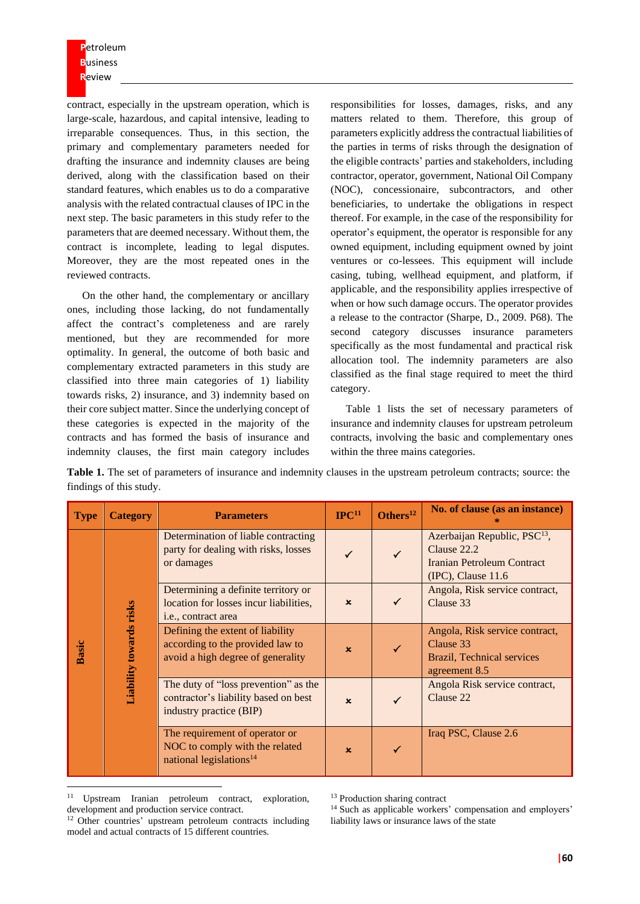contract, especially in the upstream operation, which is large-scale, hazardous, and capital intensive, leading to irreparable consequences. Thus, in this section, the primary and complementary parameters needed for drafting the insurance and indemnity clauses are being derived, along with the classification based on their standard features, which enables us to do a comparative analysis with the related contractual clauses of IPC in the next step. The basic parameters in this study refer to the parameters that are deemed necessary. Without them, the contract is incomplete, leading to legal disputes. Moreover, they are the most repeated ones in the reviewed contracts.

On the other hand, the complementary or ancillary ones, including those lacking, do not fundamentally affect the contract's completeness and are rarely mentioned, but they are recommended for more optimality. In general, the outcome of both basic and complementary extracted parameters in this study are classified into three main categories of 1) liability towards risks, 2) insurance, and 3) indemnity based on their core subject matter. Since the underlying concept of these categories is expected in the majority of the contracts and has formed the basis of insurance and indemnity clauses, the first main category includes

responsibilities for losses, damages, risks, and any matters related to them. Therefore, this group of parameters explicitly address the contractual liabilities of the parties in terms of risks through the designation of the eligible contracts' parties and stakeholders, including contractor, operator, government, National Oil Company (NOC), concessionaire, subcontractors, and other beneficiaries, to undertake the obligations in respect thereof. For example, in the case of the responsibility for operator's equipment, the operator is responsible for any owned equipment, including equipment owned by joint ventures or co-lessees. This equipment will include casing, tubing, wellhead equipment, and platform, if applicable, and the responsibility applies irrespective of when or how such damage occurs. The operator provides a release to the contractor (Sharpe, D., 2009. P68). The second category discusses insurance parameters specifically as the most fundamental and practical risk allocation tool. The indemnity parameters are also classified as the final stage required to meet the third category.

Table 1 lists the set of necessary parameters of insurance and indemnity clauses for upstream petroleum contracts, involving the basic and complementary ones within the three mains categories.

| <b>Type</b>  | <b>Category</b>                | <b>Parameters</b>                                                                                         | $\text{IPC}^{11}$ | Others <sup>12</sup> | No. of clause (as an instance)                                                                                        |
|--------------|--------------------------------|-----------------------------------------------------------------------------------------------------------|-------------------|----------------------|-----------------------------------------------------------------------------------------------------------------------|
| <b>Basic</b> | <b>Liability towards risks</b> | Determination of liable contracting<br>party for dealing with risks, losses<br>or damages                 |                   | $\checkmark$         | Azerbaijan Republic, PSC <sup>13</sup> ,<br>Clause 22.2<br><b>Iranian Petroleum Contract</b><br>$(IPC)$ , Clause 11.6 |
|              |                                | Determining a definite territory or<br>location for losses incur liabilities,<br>i.e., contract area      | $\mathbf x$       |                      | Angola, Risk service contract,<br>Clause 33                                                                           |
|              |                                | Defining the extent of liability<br>according to the provided law to<br>avoid a high degree of generality | $\mathbf x$       |                      | Angola, Risk service contract,<br>Clause 33<br>Brazil, Technical services<br>agreement 8.5                            |
|              |                                | The duty of "loss prevention" as the<br>contractor's liability based on best<br>industry practice (BIP)   | $\mathbf x$       |                      | Angola Risk service contract,<br>Clause 22                                                                            |
|              |                                | The requirement of operator or<br>NOC to comply with the related<br>national legislations <sup>14</sup>   | $\mathbf{x}$      | ✓                    | Iraq PSC, Clause 2.6                                                                                                  |

**Table 1.** The set of parameters of insurance and indemnity clauses in the upstream petroleum contracts; source: the findings of this study.

<sup>14</sup> Such as applicable workers' compensation and employers' liability laws or insurance laws of the state

<sup>11</sup> Upstream Iranian petroleum contract, exploration, development and production service contract.

<sup>12</sup> Other countries' upstream petroleum contracts including model and actual contracts of 15 different countries.

<sup>&</sup>lt;sup>13</sup> Production sharing contract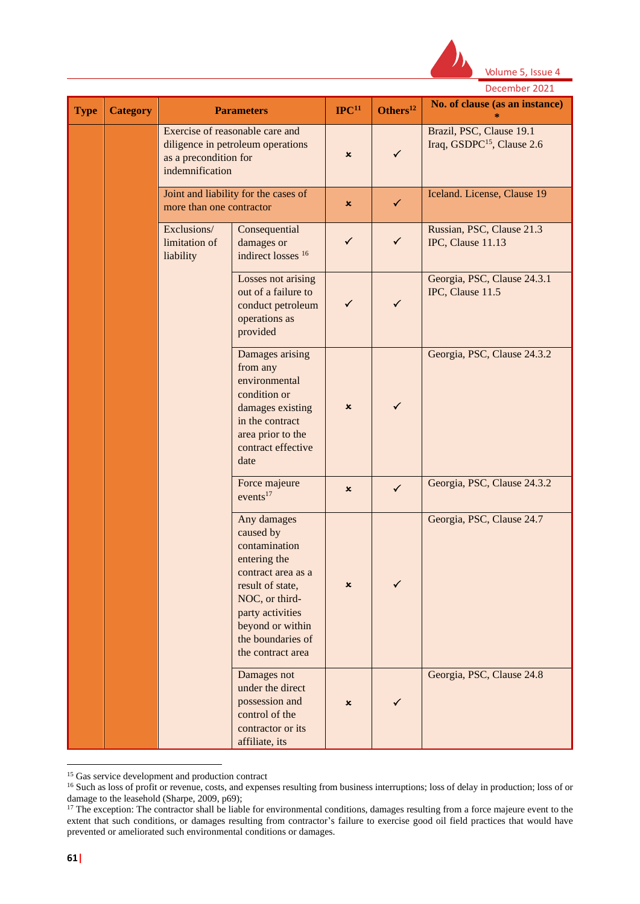

|             |                 |                                           |                                                                                                                                                                                                         |                           |                | December 2021                                                      |  |
|-------------|-----------------|-------------------------------------------|---------------------------------------------------------------------------------------------------------------------------------------------------------------------------------------------------------|---------------------------|----------------|--------------------------------------------------------------------|--|
| <b>Type</b> | <b>Category</b> | <b>Parameters</b>                         |                                                                                                                                                                                                         | $\mathbf{IPC}^{11}$       | Others $^{12}$ | No. of clause (as an instance)                                     |  |
|             |                 | as a precondition for<br>indemnification  | Exercise of reasonable care and<br>diligence in petroleum operations                                                                                                                                    | ×                         | $\checkmark$   | Brazil, PSC, Clause 19.1<br>Iraq, GSDPC <sup>15</sup> , Clause 2.6 |  |
|             |                 | more than one contractor                  | Joint and liability for the cases of                                                                                                                                                                    | ×                         | $\checkmark$   | Iceland. License, Clause 19                                        |  |
|             |                 | Exclusions/<br>limitation of<br>liability | Consequential<br>damages or<br>indirect losses 16                                                                                                                                                       | $\checkmark$              | $\checkmark$   | Russian, PSC, Clause 21.3<br>IPC, Clause 11.13                     |  |
|             |                 |                                           | Losses not arising<br>out of a failure to<br>conduct petroleum<br>operations as<br>provided                                                                                                             | ✓                         | $\checkmark$   | Georgia, PSC, Clause 24.3.1<br>IPC, Clause 11.5                    |  |
|             |                 |                                           | Damages arising<br>from any<br>environmental<br>condition or<br>damages existing<br>in the contract<br>area prior to the<br>contract effective<br>date                                                  | $\boldsymbol{\mathsf{x}}$ | ✓              | Georgia, PSC, Clause 24.3.2                                        |  |
|             |                 |                                           | Force majeure<br>events <sup>17</sup>                                                                                                                                                                   | $\mathbf x$               | $\checkmark$   | Georgia, PSC, Clause 24.3.2                                        |  |
|             |                 |                                           | Any damages<br>caused by<br>contamination<br>entering the<br>contract area as a<br>result of state,<br>NOC, or third-<br>party activities<br>beyond or within<br>the boundaries of<br>the contract area | ×                         | ✓              | Georgia, PSC, Clause 24.7                                          |  |
|             |                 |                                           | Damages not<br>under the direct<br>possession and<br>control of the<br>contractor or its<br>affiliate, its                                                                                              | $\boldsymbol{\mathsf{x}}$ | ✓              | Georgia, PSC, Clause 24.8                                          |  |

<sup>&</sup>lt;sup>15</sup> Gas service development and production contract

<sup>&</sup>lt;sup>16</sup> Such as loss of profit or revenue, costs, and expenses resulting from business interruptions; loss of delay in production; loss of or damage to the leasehold (Sharpe, 2009, p69);

 $17$  The exception: The contractor shall be liable for environmental conditions, damages resulting from a force majeure event to the extent that such conditions, or damages resulting from contractor's failure to exercise good oil field practices that would have prevented or ameliorated such environmental conditions or damages.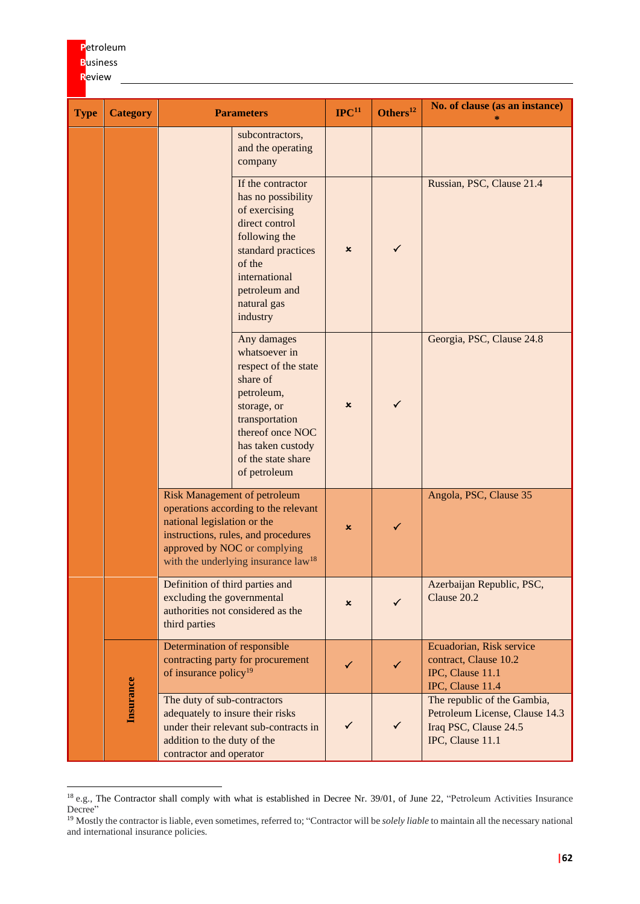#### **R**eview **Type Category Parameters IPC<sup>11</sup> Others<sup>12</sup> No.** of clause (as an instance) **\*** subcontractors, and the operating company If the contractor has no possibility of exercising direct control following the standard practices of the international petroleum and natural gas industry  $\mathsf{x}$   $\sqrt{ }$ Russian, PSC, Clause 21.4 Any damages whatsoever in respect of the state share of petroleum, storage, or transportation thereof once NOC has taken custody of the state share of petroleum  $\mathbf{x}$ Georgia, PSC, Clause 24.8 Risk Management of petroleum operations according to the relevant national legislation or the instructions, rules, and procedures approved by NOC or complying with the underlying insurance law<sup>18</sup>  $x \quad | \quad \checkmark$ Angola, PSC, Clause 35 Definition of third parties and excluding the governmental authorities not considered as the third parties  $x \quad | \quad \checkmark$ Azerbaijan Republic, PSC, Clause 20.2 **Insurance** Determination of responsible contracting party for procurement contracting party for procurement<br>of insurance policy<sup>19</sup> Ecuadorian, Risk service contract, Clause 10.2 IPC, Clause 11.1 IPC, Clause 11.4 The duty of sub-contractors adequately to insure their risks under their relevant sub-contracts in addition to the duty of the contractor and operator  $\checkmark$   $\checkmark$ The republic of the Gambia, Petroleum License, Clause 14.3 Iraq PSC, Clause 24.5 IPC, Clause 11.1

**P**etroleum **B**usiness

<sup>18</sup> e.g., The Contractor shall comply with what is established in Decree Nr. 39/01, of June 22, "Petroleum Activities Insurance Decree"

<sup>19</sup> Mostly the contractor is liable, even sometimes, referred to; "Contractor will be *solely liable* to maintain all the necessary national and international insurance policies.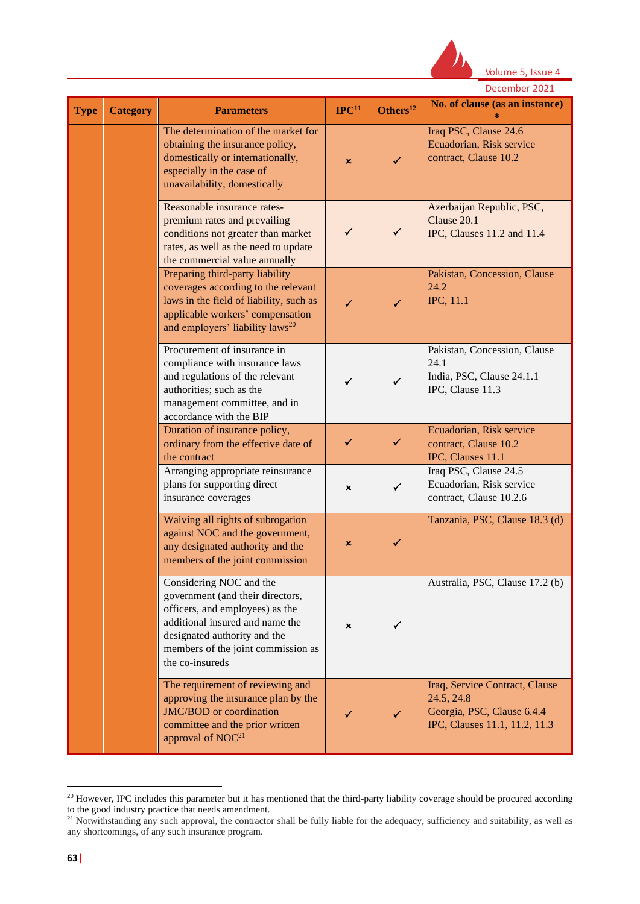

|             |                 |                                                                                                                                                                                                                            | December 2021       |                |                                                                                                             |
|-------------|-----------------|----------------------------------------------------------------------------------------------------------------------------------------------------------------------------------------------------------------------------|---------------------|----------------|-------------------------------------------------------------------------------------------------------------|
| <b>Type</b> | <b>Category</b> | <b>Parameters</b>                                                                                                                                                                                                          | $\mathbf{IPC}^{11}$ | Others $^{12}$ | No. of clause (as an instance)                                                                              |
|             |                 | The determination of the market for<br>obtaining the insurance policy,<br>domestically or internationally,<br>especially in the case of<br>unavailability, domestically                                                    | x                   | ✓              | Iraq PSC, Clause 24.6<br>Ecuadorian, Risk service<br>contract, Clause 10.2                                  |
|             |                 | Reasonable insurance rates-<br>premium rates and prevailing<br>conditions not greater than market<br>rates, as well as the need to update<br>the commercial value annually                                                 | $\checkmark$        | $\checkmark$   | Azerbaijan Republic, PSC,<br>Clause 20.1<br>IPC, Clauses 11.2 and 11.4                                      |
|             |                 | Preparing third-party liability<br>coverages according to the relevant<br>laws in the field of liability, such as<br>applicable workers' compensation<br>and employers' liability laws <sup>20</sup>                       | ✓                   | ✓              | Pakistan, Concession, Clause<br>24.2<br>IPC, 11.1                                                           |
|             |                 | Procurement of insurance in<br>compliance with insurance laws<br>and regulations of the relevant<br>authorities; such as the<br>management committee, and in<br>accordance with the BIP                                    | $\checkmark$        | $\checkmark$   | Pakistan, Concession, Clause<br>24.1<br>India, PSC, Clause 24.1.1<br>IPC, Clause 11.3                       |
|             |                 | Duration of insurance policy,<br>ordinary from the effective date of<br>the contract                                                                                                                                       | $\checkmark$        | $\checkmark$   | Ecuadorian, Risk service<br>contract, Clause 10.2<br>IPC, Clauses 11.1                                      |
|             |                 | Arranging appropriate reinsurance<br>plans for supporting direct<br>insurance coverages                                                                                                                                    | ×                   | $\checkmark$   | Iraq PSC, Clause 24.5<br>Ecuadorian, Risk service<br>contract, Clause 10.2.6                                |
|             |                 | Waiving all rights of subrogation<br>against NOC and the government,<br>any designated authority and the<br>members of the joint commission                                                                                | ×                   | ✓              | Tanzania, PSC, Clause 18.3 (d)                                                                              |
|             |                 | Considering NOC and the<br>government (and their directors,<br>officers, and employees) as the<br>additional insured and name the<br>designated authority and the<br>members of the joint commission as<br>the co-insureds | ×                   | ✓              | Australia, PSC, Clause 17.2 (b)                                                                             |
|             |                 | The requirement of reviewing and<br>approving the insurance plan by the<br>JMC/BOD or coordination<br>committee and the prior written<br>approval of NOC <sup>21</sup>                                                     | ✓                   |                | Iraq, Service Contract, Clause<br>24.5, 24.8<br>Georgia, PSC, Clause 6.4.4<br>IPC, Clauses 11.1, 11.2, 11.3 |

 $20$  However, IPC includes this parameter but it has mentioned that the third-party liability coverage should be procured according to the good industry practice that needs amendment.

<sup>&</sup>lt;sup>21</sup> Notwithstanding any such approval, the contractor shall be fully liable for the adequacy, sufficiency and suitability, as well as any shortcomings, of any such insurance program.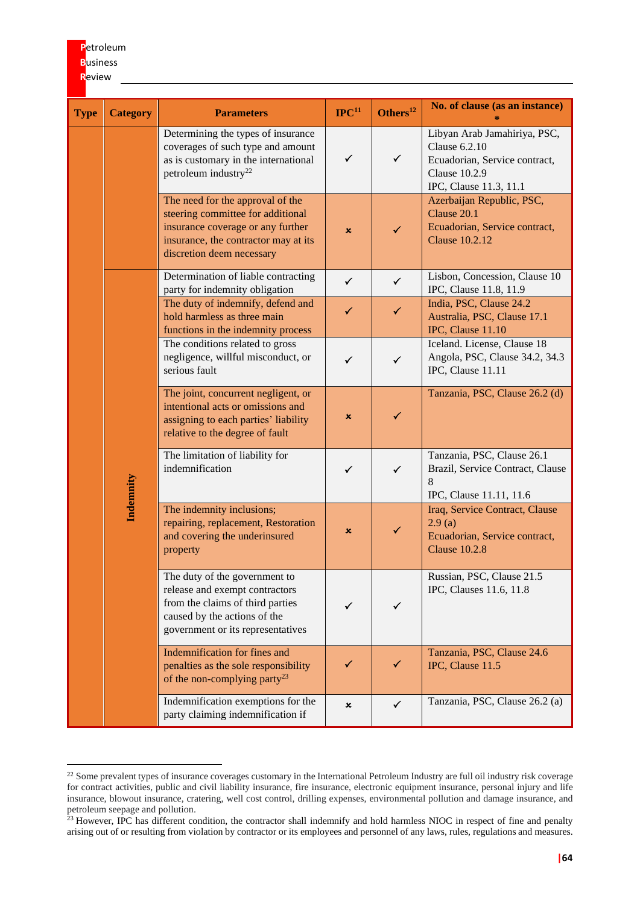# **P**etroleum **B**usiness

**R**eview

| <b>Type</b> | <b>Category</b> | <b>Parameters</b>                                                                                                                                                               | $\mathbf{IPC}^{11}$ | Others <sup>12</sup> | No. of clause (as an instance)                                                                                                          |
|-------------|-----------------|---------------------------------------------------------------------------------------------------------------------------------------------------------------------------------|---------------------|----------------------|-----------------------------------------------------------------------------------------------------------------------------------------|
|             |                 | Determining the types of insurance<br>coverages of such type and amount<br>as is customary in the international<br>petroleum industry <sup>22</sup>                             | $\checkmark$        | $\checkmark$         | Libyan Arab Jamahiriya, PSC,<br><b>Clause 6.2.10</b><br>Ecuadorian, Service contract,<br><b>Clause 10.2.9</b><br>IPC, Clause 11.3, 11.1 |
|             |                 | The need for the approval of the<br>steering committee for additional<br>insurance coverage or any further<br>insurance, the contractor may at its<br>discretion deem necessary | $\mathbf x$         | $\checkmark$         | Azerbaijan Republic, PSC,<br>Clause 20.1<br>Ecuadorian, Service contract,<br><b>Clause 10.2.12</b>                                      |
|             |                 | Determination of liable contracting<br>party for indemnity obligation                                                                                                           | $\checkmark$        | $\checkmark$         | Lisbon, Concession, Clause 10<br>IPC, Clause 11.8, 11.9                                                                                 |
|             | Indemnity       | The duty of indemnify, defend and<br>hold harmless as three main<br>functions in the indemnity process                                                                          | $\checkmark$        | $\checkmark$         | India, PSC, Clause 24.2<br>Australia, PSC, Clause 17.1<br>IPC, Clause 11.10                                                             |
|             |                 | The conditions related to gross<br>negligence, willful misconduct, or<br>serious fault                                                                                          | $\checkmark$        | $\checkmark$         | Iceland. License, Clause 18<br>Angola, PSC, Clause 34.2, 34.3<br>IPC, Clause 11.11                                                      |
|             |                 | The joint, concurrent negligent, or<br>intentional acts or omissions and<br>assigning to each parties' liability<br>relative to the degree of fault                             | $\pmb{\times}$      | ✓                    | Tanzania, PSC, Clause 26.2 (d)                                                                                                          |
|             |                 | The limitation of liability for<br>indemnification                                                                                                                              | $\checkmark$        | $\checkmark$         | Tanzania, PSC, Clause 26.1<br>Brazil, Service Contract, Clause<br>8<br>IPC, Clause 11.11, 11.6                                          |
|             |                 | The indemnity inclusions;<br>repairing, replacement, Restoration<br>and covering the underinsured<br>property                                                                   | $\pmb{\times}$      | $\checkmark$         | Iraq, Service Contract, Clause<br>2.9(a)<br>Ecuadorian, Service contract,<br><b>Clause 10.2.8</b>                                       |
|             |                 | The duty of the government to<br>release and exempt contractors<br>from the claims of third parties<br>caused by the actions of the<br>government or its representatives        | $\checkmark$        | ✓                    | Russian, PSC, Clause 21.5<br>IPC, Clauses 11.6, 11.8                                                                                    |
|             |                 | Indemnification for fines and<br>penalties as the sole responsibility<br>of the non-complying party <sup>23</sup>                                                               | $\checkmark$        | ✓                    | Tanzania, PSC, Clause 24.6<br>IPC, Clause 11.5                                                                                          |
|             |                 | Indemnification exemptions for the<br>party claiming indemnification if                                                                                                         | $\pmb{\times}$      | $\checkmark$         | Tanzania, PSC, Clause 26.2 (a)                                                                                                          |

<sup>&</sup>lt;sup>22</sup> Some prevalent types of insurance coverages customary in the International Petroleum Industry are full oil industry risk coverage for contract activities, public and civil liability insurance, fire insurance, electronic equipment insurance, personal injury and life insurance, blowout insurance, cratering, well cost control, drilling expenses, environmental pollution and damage insurance, and petroleum seepage and pollution.

 $23$  However, IPC has different condition, the contractor shall indemnify and hold harmless NIOC in respect of fine and penalty arising out of or resulting from violation by contractor or its employees and personnel of any laws, rules, regulations and measures.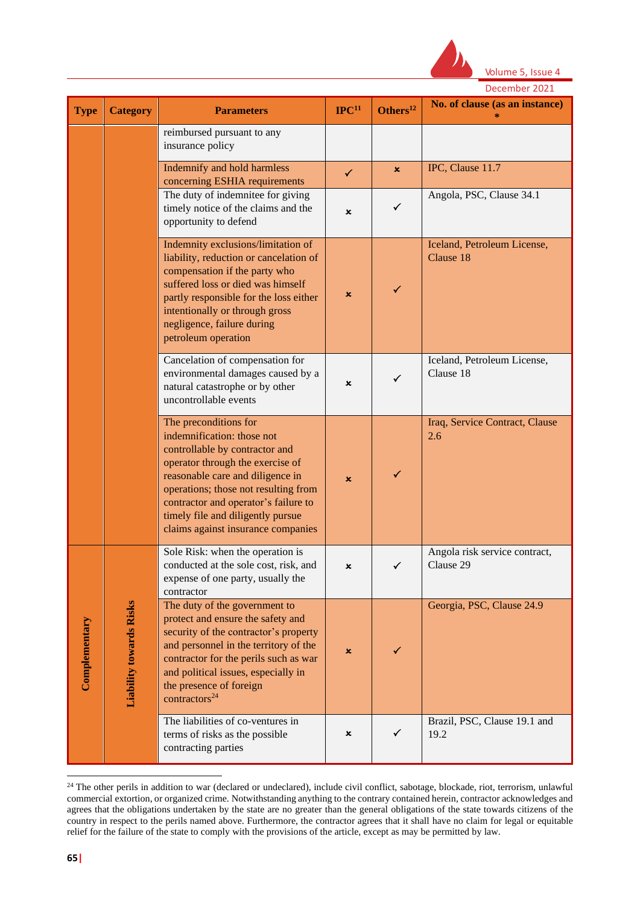

|               |                                | December 2021                                                                                                                                                                                                                                                                                                            |                     |                      |                                            |  |  |
|---------------|--------------------------------|--------------------------------------------------------------------------------------------------------------------------------------------------------------------------------------------------------------------------------------------------------------------------------------------------------------------------|---------------------|----------------------|--------------------------------------------|--|--|
| <b>Type</b>   | <b>Category</b>                | <b>Parameters</b>                                                                                                                                                                                                                                                                                                        | $\mathbf{IPC}^{11}$ | Others <sup>12</sup> | No. of clause (as an instance)             |  |  |
|               |                                | reimbursed pursuant to any<br>insurance policy                                                                                                                                                                                                                                                                           |                     |                      |                                            |  |  |
|               |                                | Indemnify and hold harmless<br>concerning ESHIA requirements                                                                                                                                                                                                                                                             | $\checkmark$        | $\mathbf{x}$         | IPC, Clause 11.7                           |  |  |
|               |                                | The duty of indemnitee for giving<br>timely notice of the claims and the<br>opportunity to defend                                                                                                                                                                                                                        | ×                   | $\checkmark$         | Angola, PSC, Clause 34.1                   |  |  |
|               |                                | Indemnity exclusions/limitation of<br>liability, reduction or cancelation of<br>compensation if the party who<br>suffered loss or died was himself<br>partly responsible for the loss either<br>intentionally or through gross<br>negligence, failure during<br>petroleum operation                                      | $\pmb{\times}$      | $\checkmark$         | Iceland, Petroleum License,<br>Clause 18   |  |  |
|               |                                | Cancelation of compensation for<br>environmental damages caused by a<br>natural catastrophe or by other<br>uncontrollable events                                                                                                                                                                                         | ×                   | $\checkmark$         | Iceland, Petroleum License,<br>Clause 18   |  |  |
|               |                                | The preconditions for<br>indemnification: those not<br>controllable by contractor and<br>operator through the exercise of<br>reasonable care and diligence in<br>operations; those not resulting from<br>contractor and operator's failure to<br>timely file and diligently pursue<br>claims against insurance companies | ×                   | $\checkmark$         | Iraq, Service Contract, Clause<br>2.6      |  |  |
| Complementary | <b>Liability towards Risks</b> | Sole Risk: when the operation is<br>conducted at the sole cost, risk, and<br>expense of one party, usually the<br>contractor                                                                                                                                                                                             |                     |                      | Angola risk service contract,<br>Clause 29 |  |  |
|               |                                | The duty of the government to<br>protect and ensure the safety and<br>security of the contractor's property<br>and personnel in the territory of the<br>contractor for the perils such as war<br>and political issues, especially in<br>the presence of foreign<br>contractors <sup>24</sup>                             | ×                   |                      | Georgia, PSC, Clause 24.9                  |  |  |
|               |                                | The liabilities of co-ventures in<br>terms of risks as the possible<br>contracting parties                                                                                                                                                                                                                               | ×                   | ✓                    | Brazil, PSC, Clause 19.1 and<br>19.2       |  |  |

<sup>&</sup>lt;sup>24</sup> The other perils in addition to war (declared or undeclared), include civil conflict, sabotage, blockade, riot, terrorism, unlawful commercial extortion, or organized crime. Notwithstanding anything to the contrary contained herein, contractor acknowledges and agrees that the obligations undertaken by the state are no greater than the general obligations of the state towards citizens of the country in respect to the perils named above. Furthermore, the contractor agrees that it shall have no claim for legal or equitable relief for the failure of the state to comply with the provisions of the article, except as may be permitted by law.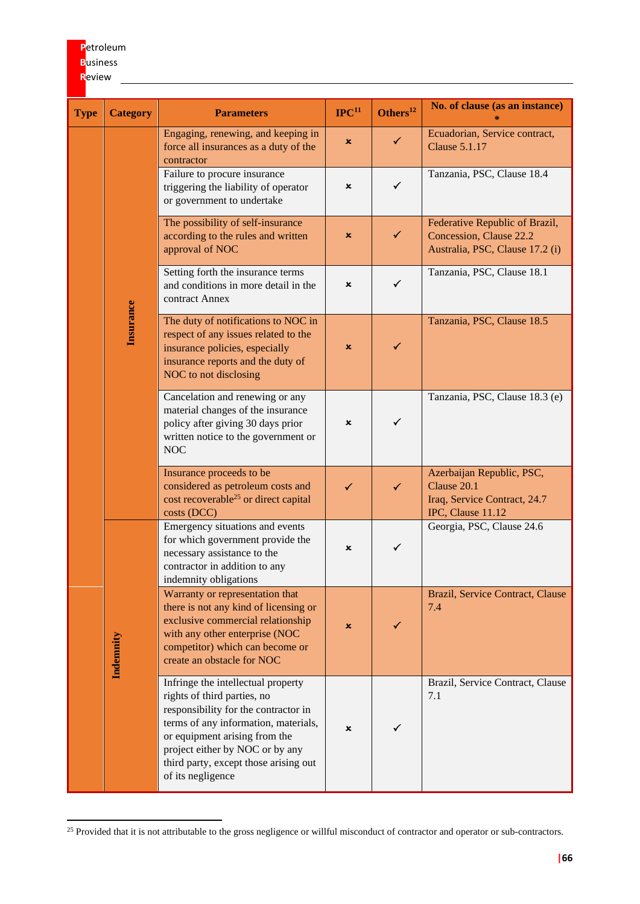# **P**etroleum **B**usiness **R**eview

| <b>Type</b> | <b>Category</b> | <b>Parameters</b>                                                                                                                                                                                                                                                                   | IPC <sup>11</sup>         | Others <sup>12</sup> | No. of clause (as an instance)                                                                |
|-------------|-----------------|-------------------------------------------------------------------------------------------------------------------------------------------------------------------------------------------------------------------------------------------------------------------------------------|---------------------------|----------------------|-----------------------------------------------------------------------------------------------|
|             | Insurance       | Engaging, renewing, and keeping in<br>force all insurances as a duty of the<br>contractor                                                                                                                                                                                           | $\boldsymbol{\mathsf{x}}$ | $\checkmark$         | Ecuadorian, Service contract,<br><b>Clause 5.1.17</b>                                         |
|             |                 | Failure to procure insurance<br>triggering the liability of operator<br>or government to undertake                                                                                                                                                                                  | ×                         | $\checkmark$         | Tanzania, PSC, Clause 18.4                                                                    |
|             |                 | The possibility of self-insurance<br>according to the rules and written<br>approval of NOC                                                                                                                                                                                          | $\boldsymbol{\mathsf{x}}$ | $\checkmark$         | Federative Republic of Brazil,<br>Concession, Clause 22.2<br>Australia, PSC, Clause 17.2 (i)  |
|             |                 | Setting forth the insurance terms<br>and conditions in more detail in the<br>contract Annex                                                                                                                                                                                         | ×                         | $\checkmark$         | Tanzania, PSC, Clause 18.1                                                                    |
|             |                 | The duty of notifications to NOC in<br>respect of any issues related to the<br>insurance policies, especially<br>insurance reports and the duty of<br>NOC to not disclosing                                                                                                         | ×                         | ✓                    | Tanzania, PSC, Clause 18.5                                                                    |
|             |                 | Cancelation and renewing or any<br>material changes of the insurance<br>policy after giving 30 days prior<br>written notice to the government or<br><b>NOC</b>                                                                                                                      | ×                         | $\checkmark$         | Tanzania, PSC, Clause 18.3 (e)                                                                |
|             |                 | Insurance proceeds to be<br>considered as petroleum costs and<br>cost recoverable <sup>25</sup> or direct capital<br>costs (DCC)                                                                                                                                                    | $\checkmark$              | $\checkmark$         | Azerbaijan Republic, PSC,<br>Clause 20.1<br>Iraq, Service Contract, 24.7<br>IPC, Clause 11.12 |
|             | Indemnity       | Emergency situations and events<br>for which government provide the<br>necessary assistance to the<br>contractor in addition to any<br>indemnity obligations                                                                                                                        | ×                         | $\checkmark$         | Georgia, PSC, Clause 24.6                                                                     |
|             |                 | Warranty or representation that<br>there is not any kind of licensing or<br>exclusive commercial relationship<br>with any other enterprise (NOC<br>competitor) which can become or<br>create an obstacle for NOC                                                                    | $\pmb{\times}$            |                      | Brazil, Service Contract, Clause<br>7.4                                                       |
|             |                 | Infringe the intellectual property<br>rights of third parties, no<br>responsibility for the contractor in<br>terms of any information, materials,<br>or equipment arising from the<br>project either by NOC or by any<br>third party, except those arising out<br>of its negligence | $\boldsymbol{\mathsf{x}}$ |                      | Brazil, Service Contract, Clause<br>7.1                                                       |

<sup>&</sup>lt;sup>25</sup> Provided that it is not attributable to the gross negligence or willful misconduct of contractor and operator or sub-contractors.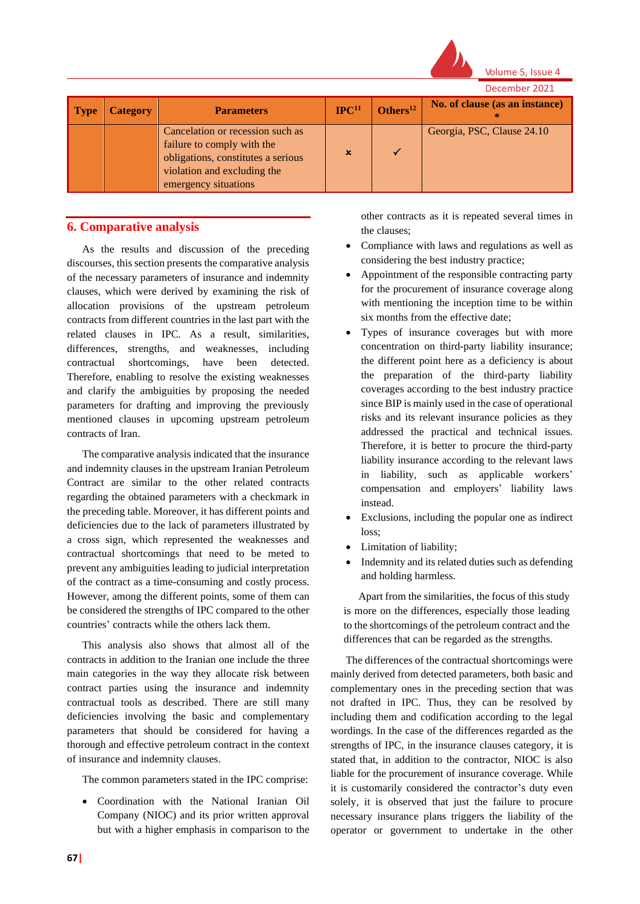

Volume 5, Issue 4

December 2021 **Parameters IPC<sup>11</sup> Definition Parameters IPC**<sup>11</sup> **Others**<sup>12</sup> **No.** of clause (as an instance) **\*** Cancelation or recession such as failure to comply with the obligations, constitutes a serious violation and excluding the emergency situations  $x \sim$ Georgia, PSC, Clause 24.10

## **6. Comparative analysis**

As the results and discussion of the preceding discourses, this section presents the comparative analysis of the necessary parameters of insurance and indemnity clauses, which were derived by examining the risk of allocation provisions of the upstream petroleum contracts from different countries in the last part with the related clauses in IPC. As a result, similarities, differences, strengths, and weaknesses, including contractual shortcomings, have been detected. Therefore, enabling to resolve the existing weaknesses and clarify the ambiguities by proposing the needed parameters for drafting and improving the previously mentioned clauses in upcoming upstream petroleum contracts of Iran.

The comparative analysis indicated that the insurance and indemnity clauses in the upstream Iranian Petroleum Contract are similar to the other related contracts regarding the obtained parameters with a checkmark in the preceding table. Moreover, it has different points and deficiencies due to the lack of parameters illustrated by a cross sign, which represented the weaknesses and contractual shortcomings that need to be meted to prevent any ambiguities leading to judicial interpretation of the contract as a time-consuming and costly process. However, among the different points, some of them can be considered the strengths of IPC compared to the other countries' contracts while the others lack them.

This analysis also shows that almost all of the contracts in addition to the Iranian one include the three main categories in the way they allocate risk between contract parties using the insurance and indemnity contractual tools as described. There are still many deficiencies involving the basic and complementary parameters that should be considered for having a thorough and effective petroleum contract in the context of insurance and indemnity clauses.

The common parameters stated in the IPC comprise:

• Coordination with the National Iranian Oil Company (NIOC) and its prior written approval but with a higher emphasis in comparison to the

other contracts as it is repeated several times in the clauses;

- Compliance with laws and regulations as well as considering the best industry practice;
- Appointment of the responsible contracting party for the procurement of insurance coverage along with mentioning the inception time to be within six months from the effective date;
- Types of insurance coverages but with more concentration on third-party liability insurance; the different point here as a deficiency is about the preparation of the third-party liability coverages according to the best industry practice since BIP is mainly used in the case of operational risks and its relevant insurance policies as they addressed the practical and technical issues. Therefore, it is better to procure the third-party liability insurance according to the relevant laws in liability, such as applicable workers' compensation and employers' liability laws instead.
- Exclusions, including the popular one as indirect loss;
- Limitation of liability;
- Indemnity and its related duties such as defending and holding harmless.

Apart from the similarities, the focus of this study is more on the differences, especially those leading to the shortcomings of the petroleum contract and the differences that can be regarded as the strengths.

The differences of the contractual shortcomings were mainly derived from detected parameters, both basic and complementary ones in the preceding section that was not drafted in IPC. Thus, they can be resolved by including them and codification according to the legal wordings. In the case of the differences regarded as the strengths of IPC, in the insurance clauses category, it is stated that, in addition to the contractor, NIOC is also liable for the procurement of insurance coverage. While it is customarily considered the contractor's duty even solely, it is observed that just the failure to procure necessary insurance plans triggers the liability of the operator or government to undertake in the other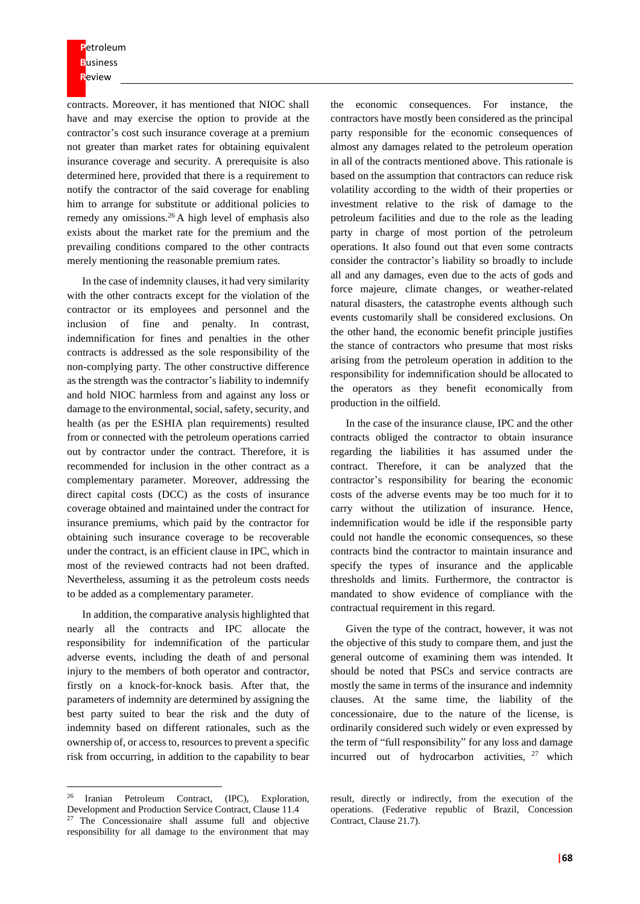**P**etroleum **B**usiness **R**eview

contracts. Moreover, it has mentioned that NIOC shall have and may exercise the option to provide at the contractor's cost such insurance coverage at a premium not greater than market rates for obtaining equivalent insurance coverage and security. A prerequisite is also determined here, provided that there is a requirement to notify the contractor of the said coverage for enabling him to arrange for substitute or additional policies to remedy any omissions.<sup>26</sup> A high level of emphasis also exists about the market rate for the premium and the prevailing conditions compared to the other contracts merely mentioning the reasonable premium rates.

In the case of indemnity clauses, it had very similarity with the other contracts except for the violation of the contractor or its employees and personnel and the inclusion of fine and penalty. In contrast, indemnification for fines and penalties in the other contracts is addressed as the sole responsibility of the non-complying party. The other constructive difference as the strength was the contractor's liability to indemnify and hold NIOC harmless from and against any loss or damage to the environmental, social, safety, security, and health (as per the ESHIA plan requirements) resulted from or connected with the petroleum operations carried out by contractor under the contract. Therefore, it is recommended for inclusion in the other contract as a complementary parameter. Moreover, addressing the direct capital costs (DCC) as the costs of insurance coverage obtained and maintained under the contract for insurance premiums, which paid by the contractor for obtaining such insurance coverage to be recoverable under the contract, is an efficient clause in IPC, which in most of the reviewed contracts had not been drafted. Nevertheless, assuming it as the petroleum costs needs to be added as a complementary parameter.

In addition, the comparative analysis highlighted that nearly all the contracts and IPC allocate the responsibility for indemnification of the particular adverse events, including the death of and personal injury to the members of both operator and contractor, firstly on a knock-for-knock basis. After that, the parameters of indemnity are determined by assigning the best party suited to bear the risk and the duty of indemnity based on different rationales, such as the ownership of, or access to, resources to prevent a specific risk from occurring, in addition to the capability to bear

the economic consequences. For instance, the contractors have mostly been considered as the principal party responsible for the economic consequences of almost any damages related to the petroleum operation in all of the contracts mentioned above. This rationale is based on the assumption that contractors can reduce risk volatility according to the width of their properties or investment relative to the risk of damage to the petroleum facilities and due to the role as the leading party in charge of most portion of the petroleum operations. It also found out that even some contracts consider the contractor's liability so broadly to include all and any damages, even due to the acts of gods and force majeure, climate changes, or weather-related natural disasters, the catastrophe events although such events customarily shall be considered exclusions. On the other hand, the economic benefit principle justifies the stance of contractors who presume that most risks arising from the petroleum operation in addition to the responsibility for indemnification should be allocated to the operators as they benefit economically from production in the oilfield.

In the case of the insurance clause, IPC and the other contracts obliged the contractor to obtain insurance regarding the liabilities it has assumed under the contract. Therefore, it can be analyzed that the contractor's responsibility for bearing the economic costs of the adverse events may be too much for it to carry without the utilization of insurance. Hence, indemnification would be idle if the responsible party could not handle the economic consequences, so these contracts bind the contractor to maintain insurance and specify the types of insurance and the applicable thresholds and limits. Furthermore, the contractor is mandated to show evidence of compliance with the contractual requirement in this regard.

Given the type of the contract, however, it was not the objective of this study to compare them, and just the general outcome of examining them was intended. It should be noted that PSCs and service contracts are mostly the same in terms of the insurance and indemnity clauses. At the same time, the liability of the concessionaire, due to the nature of the license, is ordinarily considered such widely or even expressed by the term of "full responsibility" for any loss and damage incurred out of hydrocarbon activities,  $27$  which

<sup>26</sup> Iranian Petroleum Contract, (IPC), Exploration, Development and Production Service Contract, Clause 11.4 <sup>27</sup> The Concessionaire shall assume full and objective responsibility for all damage to the environment that may

result, directly or indirectly, from the execution of the operations. (Federative republic of Brazil, Concession Contract, Clause 21.7).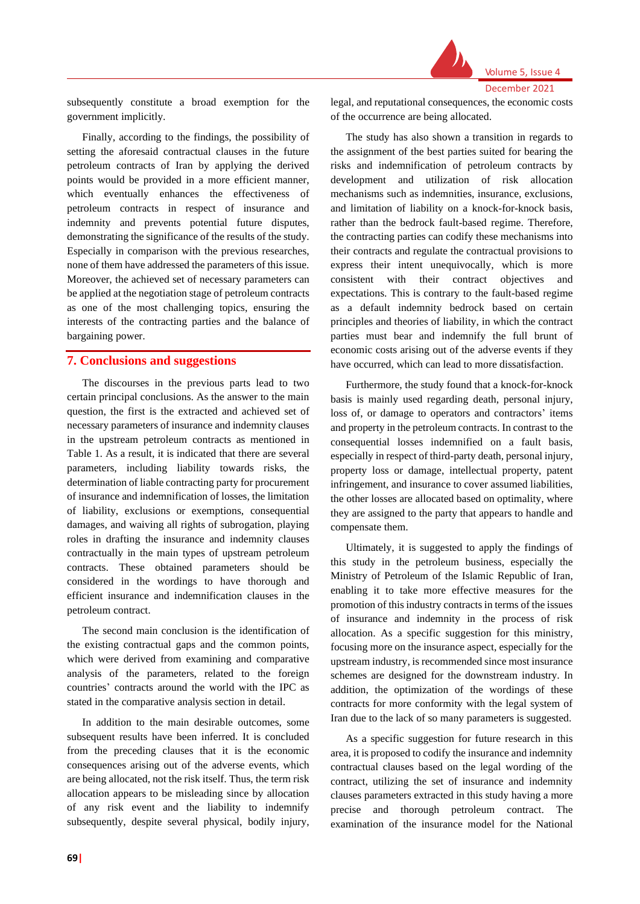

subsequently constitute a broad exemption for the government implicitly.

Finally, according to the findings, the possibility of setting the aforesaid contractual clauses in the future petroleum contracts of Iran by applying the derived points would be provided in a more efficient manner, which eventually enhances the effectiveness of petroleum contracts in respect of insurance and indemnity and prevents potential future disputes, demonstrating the significance of the results of the study. Especially in comparison with the previous researches, none of them have addressed the parameters of this issue. Moreover, the achieved set of necessary parameters can be applied at the negotiation stage of petroleum contracts as one of the most challenging topics, ensuring the interests of the contracting parties and the balance of bargaining power.

#### **7. Conclusions and suggestions**

The discourses in the previous parts lead to two certain principal conclusions. As the answer to the main question, the first is the extracted and achieved set of necessary parameters of insurance and indemnity clauses in the upstream petroleum contracts as mentioned in Table 1. As a result, it is indicated that there are several parameters, including liability towards risks, the determination of liable contracting party for procurement of insurance and indemnification of losses, the limitation of liability, exclusions or exemptions, consequential damages, and waiving all rights of subrogation, playing roles in drafting the insurance and indemnity clauses contractually in the main types of upstream petroleum contracts. These obtained parameters should be considered in the wordings to have thorough and efficient insurance and indemnification clauses in the petroleum contract.

The second main conclusion is the identification of the existing contractual gaps and the common points, which were derived from examining and comparative analysis of the parameters, related to the foreign countries' contracts around the world with the IPC as stated in the comparative analysis section in detail.

In addition to the main desirable outcomes, some subsequent results have been inferred. It is concluded from the preceding clauses that it is the economic consequences arising out of the adverse events, which are being allocated, not the risk itself. Thus, the term risk allocation appears to be misleading since by allocation of any risk event and the liability to indemnify subsequently, despite several physical, bodily injury,

legal, and reputational consequences, the economic costs of the occurrence are being allocated.

The study has also shown a transition in regards to the assignment of the best parties suited for bearing the risks and indemnification of petroleum contracts by development and utilization of risk allocation mechanisms such as indemnities, insurance, exclusions, and limitation of liability on a knock-for-knock basis, rather than the bedrock fault-based regime. Therefore, the contracting parties can codify these mechanisms into their contracts and regulate the contractual provisions to express their intent unequivocally, which is more consistent with their contract objectives and expectations. This is contrary to the fault-based regime as a default indemnity bedrock based on certain principles and theories of liability, in which the contract parties must bear and indemnify the full brunt of economic costs arising out of the adverse events if they have occurred, which can lead to more dissatisfaction.

Furthermore, the study found that a knock-for-knock basis is mainly used regarding death, personal injury, loss of, or damage to operators and contractors' items and property in the petroleum contracts. In contrast to the consequential losses indemnified on a fault basis, especially in respect of third-party death, personal injury, property loss or damage, intellectual property, patent infringement, and insurance to cover assumed liabilities, the other losses are allocated based on optimality, where they are assigned to the party that appears to handle and compensate them.

Ultimately, it is suggested to apply the findings of this study in the petroleum business, especially the Ministry of Petroleum of the Islamic Republic of Iran, enabling it to take more effective measures for the promotion of thisindustry contracts in terms of the issues of insurance and indemnity in the process of risk allocation. As a specific suggestion for this ministry, focusing more on the insurance aspect, especially for the upstream industry, is recommended since most insurance schemes are designed for the downstream industry. In addition, the optimization of the wordings of these contracts for more conformity with the legal system of Iran due to the lack of so many parameters is suggested.

As a specific suggestion for future research in this area, it is proposed to codify the insurance and indemnity contractual clauses based on the legal wording of the contract, utilizing the set of insurance and indemnity clauses parameters extracted in this study having a more precise and thorough petroleum contract. The examination of the insurance model for the National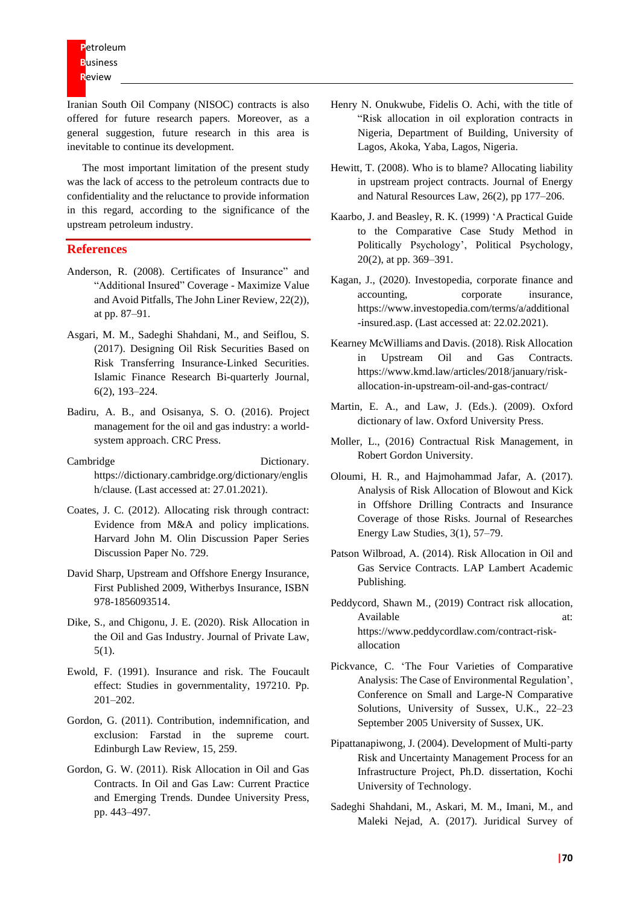Iranian South Oil Company (NISOC) contracts is also offered for future research papers. Moreover, as a general suggestion, future research in this area is inevitable to continue its development.

The most important limitation of the present study was the lack of access to the petroleum contracts due to confidentiality and the reluctance to provide information in this regard, according to the significance of the upstream petroleum industry.

#### **References**

- Anderson, R. (2008). Certificates of Insurance" and "Additional Insured" Coverage - Maximize Value and Avoid Pitfalls, The John Liner Review, 22(2)), at pp. 87–91.
- Asgari, M. M., Sadeghi Shahdani, M., and Seiflou, S. (2017). Designing Oil Risk Securities Based on Risk Transferring Insurance-Linked Securities. Islamic Finance Research Bi-quarterly Journal, 6(2), 193–224.
- Badiru, A. B., and Osisanya, S. O. (2016). Project management for the oil and gas industry: a worldsystem approach. CRC Press.
- Cambridge Dictionary. [https://dictionary.cambridge.org/dictionary/englis](https://dictionary.cambridge.org/dictionary/english/clause) [h/clause.](https://dictionary.cambridge.org/dictionary/english/clause) (Last accessed at: 27.01.2021).
- Coates, J. C. (2012). Allocating risk through contract: Evidence from M&A and policy implications. Harvard John M. Olin Discussion Paper Series Discussion Paper No. 729.
- David [Sharp,](https://www.wildy.com/books?author=Sharp,%20David) Upstream and Offshore Energy Insurance, First Published 2009, Witherbys Insurance, ISBN 978-1856093514.
- Dike, S., and Chigonu, J. E. (2020). Risk Allocation in the Oil and Gas Industry. Journal of Private Law, 5(1).
- Ewold, F. (1991). Insurance and risk. The Foucault effect: Studies in governmentality, 197210. Pp. 201–202.
- Gordon, G. (2011). Contribution, indemnification, and exclusion: Farstad in the supreme court. Edinburgh Law Review, 15, 259.
- Gordon, G. W. (2011). Risk Allocation in Oil and Gas Contracts. In Oil and Gas Law: Current Practice and Emerging Trends. Dundee University Press, pp. 443–497.
- Henry N. Onukwube, Fidelis O. Achi, with the title of "Risk allocation in oil exploration contracts in Nigeria, Department of Building, University of Lagos, Akoka, Yaba, Lagos, Nigeria.
- Hewitt, T. (2008). Who is to blame? Allocating liability in upstream project contracts. Journal of Energy and Natural Resources Law, 26(2), pp 177–206.
- Kaarbo, J. and Beasley, R. K. (1999) 'A Practical Guide to the Comparative Case Study Method in Politically Psychology', Political Psychology, 20(2), at pp. 369–391.
- [Kagan,](https://www.investopedia.com/contributors/53409/) J., (2020). Investopedia, [corporate](https://www.investopedia.com/corporate-finance-and-accounting-4689821) finance and [accounting,](https://www.investopedia.com/corporate-finance-and-accounting-4689821) corporate [insurance,](https://www.investopedia.com/corporate-insurance-4689818) [https://www.investopedia.com/terms/a/additional](https://www.investopedia.com/terms/a/additional-insured.asp) [-insured.asp.](https://www.investopedia.com/terms/a/additional-insured.asp) (Last accessed at: 22.02.2021).
- Kearney McWilliams and Davis. (2018). Risk Allocation in Upstream Oil and Gas Contracts. https://www.kmd.law/articles/2018/january/riskallocation-in-upstream-oil-and-gas-contract/
- Martin, E. A., and Law, J. (Eds.). (2009). Oxford dictionary of law. Oxford University Press.
- Moller, L., (2016) Contractual Risk Management, in Robert Gordon University.
- Oloumi, H. R., and Hajmohammad Jafar, A. (2017). Analysis of Risk Allocation of Blowout and Kick in Offshore Drilling Contracts and Insurance Coverage of those Risks. Journal of Researches Energy Law Studies, 3(1), 57–79.
- Patson Wilbroad, A. (2014). Risk Allocation in Oil and Gas Service Contracts. LAP Lambert Academic Publishing.
- Peddycord, Shawn M., (2019) Contract risk allocation, Available at: https://www.peddycordlaw.com/contract-riskallocation
- Pickvance, C. 'The Four Varieties of Comparative Analysis: The Case of Environmental Regulation', Conference on Small and Large-N Comparative Solutions, University of Sussex, U.K., 22–23 September 2005 University of Sussex, UK.
- Pipattanapiwong, J. (2004). Development of Multi-party Risk and Uncertainty Management Process for an Infrastructure Project, Ph.D. dissertation, Kochi University of Technology.
- Sadeghi Shahdani, M., Askari, M. M., Imani, M., and Maleki Nejad, A. (2017). Juridical Survey of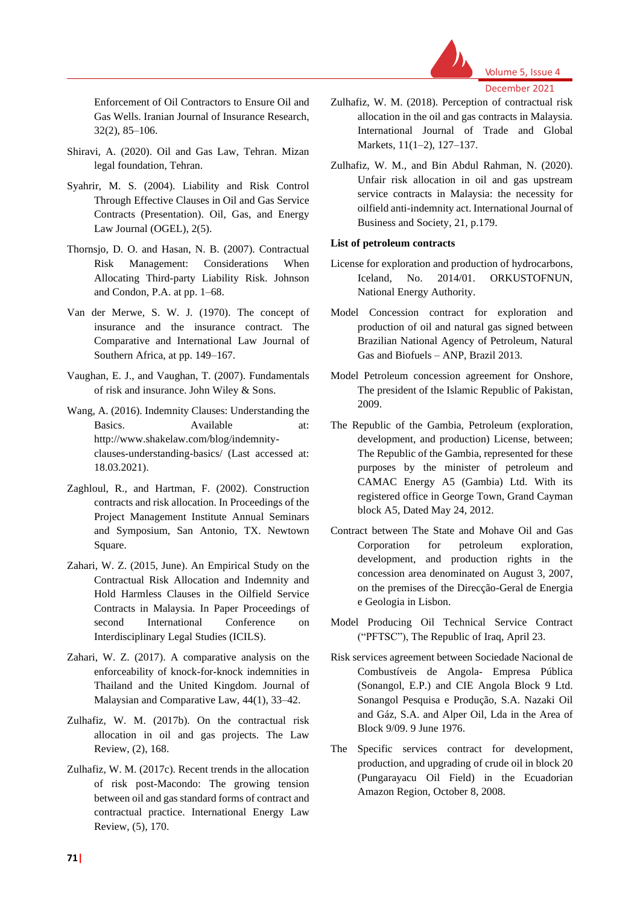

Volume 5, Issue 4 December 2021

Enforcement of Oil Contractors to Ensure Oil and Gas Wells. Iranian Journal of Insurance Research, 32(2), 85–106.

- Shiravi, A. (2020). Oil and Gas Law, Tehran. Mizan legal foundation, Tehran.
- Syahrir, M. S. (2004). Liability and Risk Control Through Effective Clauses in Oil and Gas Service Contracts (Presentation). Oil, Gas, and Energy Law Journal (OGEL), 2(5).
- Thornsjo, D. O. and Hasan, N. B. (2007). Contractual Risk Management: Considerations When Allocating Third-party Liability Risk. Johnson and Condon, P.A. at pp. 1–68.
- Van der Merwe, S. W. J. (1970). The concept of insurance and the insurance contract. The Comparative and International Law Journal of Southern Africa, at pp. 149–167.
- Vaughan, E. J., and Vaughan, T. (2007). Fundamentals of risk and insurance. John Wiley & Sons.
- Wang, A. (2016). Indemnity Clauses: Understanding the Basics. Available at: [http://www.shakelaw.com/blog/indemnity](http://www.shakelaw.com/blog/indemnity-clauses-understanding-basics/)[clauses-understanding-basics/](http://www.shakelaw.com/blog/indemnity-clauses-understanding-basics/) (Last accessed at: 18.03.2021).
- Zaghloul, R., and Hartman, F. (2002). Construction contracts and risk allocation. In Proceedings of the Project Management Institute Annual Seminars and Symposium, San Antonio, TX. Newtown Square.
- Zahari, W. Z. (2015, June). An Empirical Study on the Contractual Risk Allocation and Indemnity and Hold Harmless Clauses in the Oilfield Service Contracts in Malaysia. In Paper Proceedings of second International Conference on Interdisciplinary Legal Studies (ICILS).
- Zahari, W. Z. (2017). A comparative analysis on the enforceability of knock-for-knock indemnities in Thailand and the United Kingdom. Journal of Malaysian and Comparative Law, 44(1), 33–42.
- Zulhafiz, W. M. (2017b). On the contractual risk allocation in oil and gas projects. The Law Review, (2), 168.
- Zulhafiz, W. M. (2017c). Recent trends in the allocation of risk post-Macondo: The growing tension between oil and gas standard forms of contract and contractual practice. International Energy Law Review, (5), 170.
- Zulhafiz, W. M. (2018). Perception of contractual risk allocation in the oil and gas contracts in Malaysia. International Journal of Trade and Global Markets, 11(1–2), 127–137.
- Zulhafiz, W. M., and Bin Abdul Rahman, N. (2020). Unfair risk allocation in oil and gas upstream service contracts in Malaysia: the necessity for oilfield anti-indemnity act. International Journal of Business and Society, 21, p.179.

#### **List of petroleum contracts**

- License for exploration and production of hydrocarbons, Iceland, No. 2014/01. ORKUSTOFNUN, National Energy Authority.
- Model Concession contract for exploration and production of oil and natural gas signed between Brazilian National Agency of Petroleum, Natural Gas and Biofuels – ANP, Brazil 2013.
- Model Petroleum concession agreement for Onshore, The president of the Islamic Republic of Pakistan, 2009.
- The Republic of the Gambia, Petroleum (exploration, development, and production) License, between; The Republic of the Gambia, represented for these purposes by the minister of petroleum and CAMAC Energy A5 (Gambia) Ltd. With its registered office in George Town, Grand Cayman block A5, Dated May 24, 2012.
- Contract between The State and Mohave Oil and Gas Corporation for petroleum exploration, development, and production rights in the concession area denominated on August 3, 2007, on the premises of the Direcção-Geral de Energia e Geologia in Lisbon.
- Model Producing Oil Technical Service Contract ("PFTSC"), The Republic of Iraq, April 23.
- Risk services agreement between Sociedade Nacional de Combustíveis de Angola- Empresa Pública (Sonangol, E.P.) and CIE Angola Block 9 Ltd. Sonangol Pesquisa e Produção, S.A. Nazaki Oil and Gáz, S.A. and Alper Oil, Lda in the Area of Block 9/09. 9 June 1976.
- The Specific services contract for development, production, and upgrading of crude oil in block 20 (Pungarayacu Oil Field) in the Ecuadorian Amazon Region, October 8, 2008.